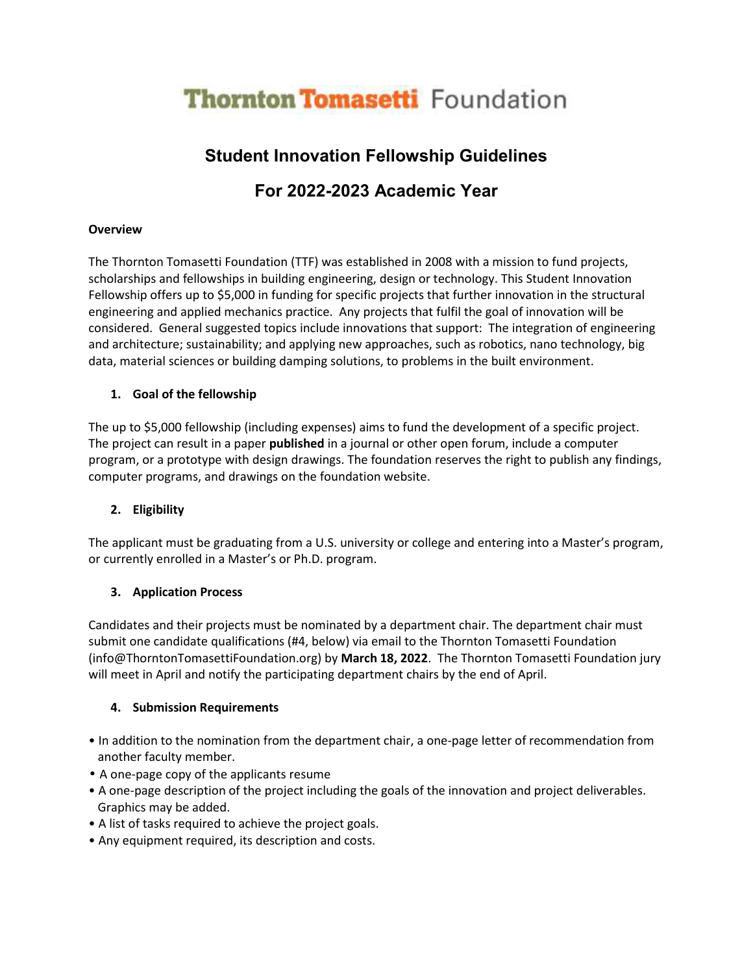# **Thornton Tomasetti Foundation**

# **Student Innovation Fellowship Guidelines**

# **For 2022-2023 Academic Year**

#### **Overview**

The Thornton Tomasetti Foundation (TTF) was established in 2008 with a mission to fund projects, scholarships and fellowships in building engineering, design or technology. This Student Innovation Fellowship offers up to \$5,000 in funding for specific projects that further innovation in the structural engineering and applied mechanics practice. Any projects that fulfil the goal of innovation will be considered. General suggested topics include innovations that support: The integration of engineering and architecture; sustainability; and applying new approaches, such as robotics, nano technology, big data, material sciences or building damping solutions, to problems in the built environment.

## **1. Goal of the fellowship**

The up to \$5,000 fellowship (including expenses) aims to fund the development of a specific project. The project can result in a paper **published** in a journal or other open forum, include a computer program, or a prototype with design drawings. The foundation reserves the right to publish any findings, computer programs, and drawings on the foundation website.

## **2. Eligibility**

The applicant must be graduating from a U.S. university or college and entering into a Master's program, or currently enrolled in a Master's or Ph.D. program.

## **3. Application Process**

Candidates and their projects must be nominated by a department chair. The department chair must submit one candidate qualifications (#4, below) via email to the Thornton Tomasetti Foundation (info@ThorntonTomasettiFoundation.org) by **March 18, 2022**. The Thornton Tomasetti Foundation jury will meet in April and notify the participating department chairs by the end of April.

## **4. Submission Requirements**

- In addition to the nomination from the department chair, a one-page letter of recommendation from another faculty member.
- A one-page copy of the applicants resume
- A one-page description of the project including the goals of the innovation and project deliverables. Graphics may be added.
- A list of tasks required to achieve the project goals.
- Any equipment required, its description and costs.